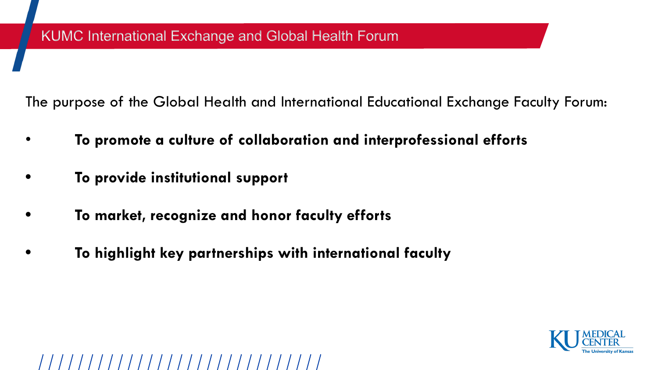The purpose of the Global Health and International Educational Exchange Faculty Forum:

- **To promote a culture of collaboration and interprofessional efforts**
- **• To provide institutional support**
- **• To market, recognize and honor faculty efforts**
- **• To highlight key partnerships with international faculty**